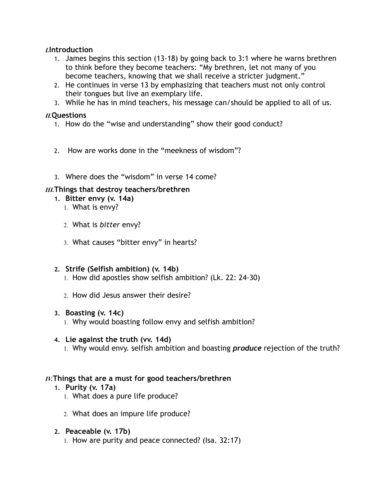## *I.***Introduction**

- 1. James begins this section (13-18) by going back to 3:1 where he warns brethren to think before they become teachers: "My brethren, let not many of you become teachers, knowing that we shall receive a stricter judgment."
- 2. He continues in verse 13 by emphasizing that teachers must not only control their tongues but live an exemplary life.
- 3. While he has in mind teachers, his message can/should be applied to all of us.

## *II.***Questions**

- 1. How do the "wise and understanding" show their good conduct?
- 2. How are works done in the "meekness of wisdom"?
- 3. Where does the "wisdom" in verse 14 come?

## *III.***Things that destroy teachers/brethren**

- **1. Bitter envy (v. 14a)** 
	- 1. What is envy?
	- 2. What is *bitter* envy?
	- 3. What causes "bitter envy" in hearts?

# **2. Strife (Selfish ambition) (v. 14b)**

- 1. How did apostles show selfish ambition? (Lk. 22: 24-30)
- 2. How did Jesus answer their desire?

## **3. Boasting (v. 14c)**

1. Why would boasting follow envy and selfish ambition?

## **4. Lie against the truth (vv. 14d)**

1. Why would envy. selfish ambition and boasting *produce* rejection of the truth?

# *IV.***Things that are a must for good teachers/brethren**

- **1. Purity (v. 17a)** 
	- 1. What does a pure life produce?
	- 2. What does an impure life produce?

## **2. Peaceable (v. 17b)**

1. How are purity and peace connected? (Isa. 32:17)